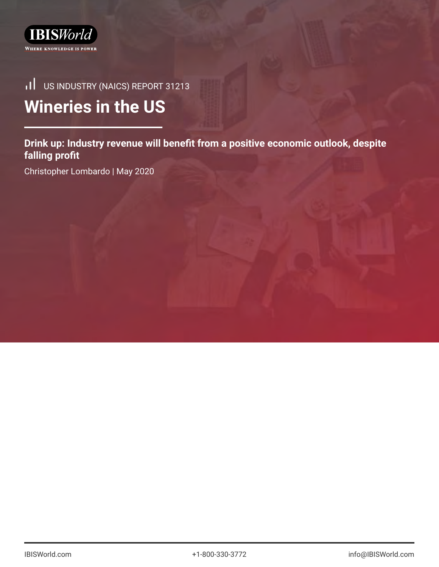

# US INDUSTRY (NAICS) REPORT 31213 **Wineries in the US**

**Drink up: Industry revenue will benefit from a positive economic outlook, despite falling profit**

Christopher Lombardo | May 2020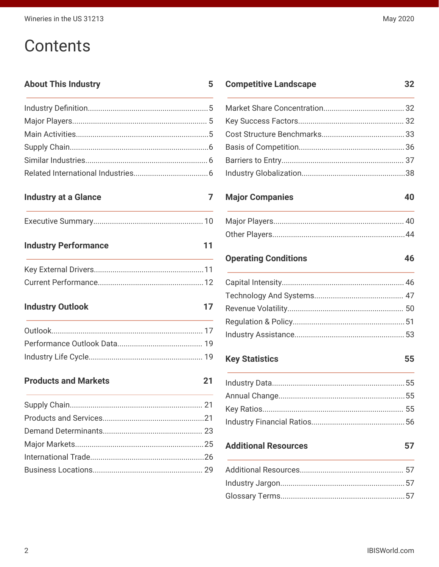# **Contents**

# **About This Industry**

### **Industry at a Glance**

**Industry Performance**  $11$ 

**Industry Outlook** 

**Products and Markets** 

 $21$ 

#### **Competitive Landscape** 32

### **Major Companies**

 $5\phantom{1}$ 

 $\overline{7}$ 

 $17$ 

### **Operating Conditions**

**Key Statistics** 

## **Additional Resources**

40

46

55

57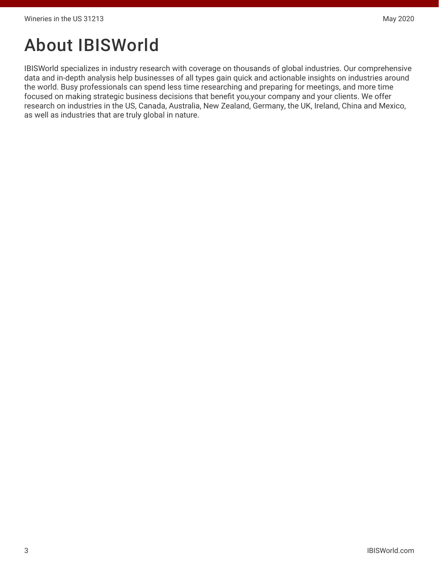# About IBISWorld

IBISWorld specializes in industry research with coverage on thousands of global industries. Our comprehensive data and in-depth analysis help businesses of all types gain quick and actionable insights on industries around the world. Busy professionals can spend less time researching and preparing for meetings, and more time focused on making strategic business decisions that benefit you,your company and your clients. We offer research on industries in the US, Canada, Australia, New Zealand, Germany, the UK, Ireland, China and Mexico, as well as industries that are truly global in nature.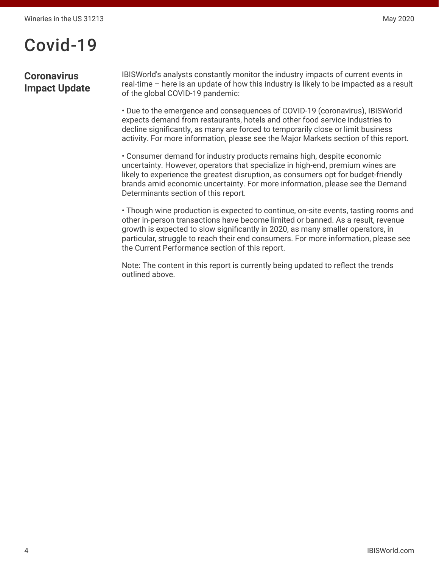# Covid-19

# **Coronavirus Impact Update**

IBISWorld's analysts constantly monitor the industry impacts of current events in real-time – here is an update of how this industry is likely to be impacted as a result of the global COVID-19 pandemic:

• Due to the emergence and consequences of COVID-19 (coronavirus), IBISWorld expects demand from restaurants, hotels and other food service industries to decline significantly, as many are forced to temporarily close or limit business activity. For more information, please see the Major Markets section of this report.

• Consumer demand for industry products remains high, despite economic uncertainty. However, operators that specialize in high-end, premium wines are likely to experience the greatest disruption, as consumers opt for budget-friendly brands amid economic uncertainty. For more information, please see the Demand Determinants section of this report.

• Though wine production is expected to continue, on-site events, tasting rooms and other in-person transactions have become limited or banned. As a result, revenue growth is expected to slow significantly in 2020, as many smaller operators, in particular, struggle to reach their end consumers. For more information, please see the Current Performance section of this report.

Note: The content in this report is currently being updated to reflect the trends outlined above.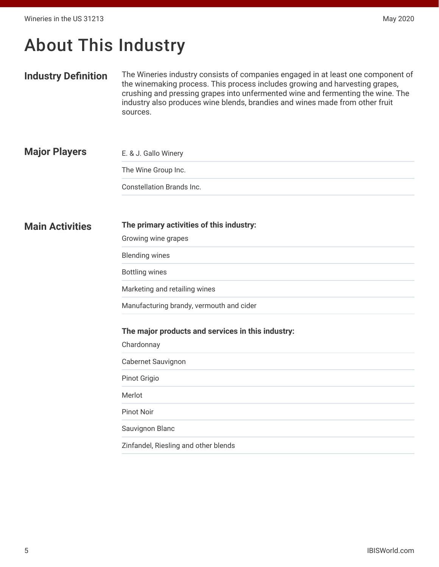# <span id="page-4-0"></span>About This Industry

#### **Industry Definition** The Wineries industry consists of companies engaged in at least one component of the winemaking process. This process includes growing and harvesting grapes, crushing and pressing grapes into unfermented wine and fermenting the wine. The industry also produces wine blends, brandies and wines made from other fruit sources.

| <b>Major Players</b> | E. & J. Gallo Winery      |  |  |  |  |  |
|----------------------|---------------------------|--|--|--|--|--|
|                      | The Wine Group Inc.       |  |  |  |  |  |
|                      | Constellation Brands Inc. |  |  |  |  |  |

#### **Main Activities The primary activities of this industry:**

Growing wine grapes

Blending wines

Bottling wines

Marketing and retailing wines

Manufacturing brandy, vermouth and cider

#### **The major products and services in this industry:**

Chardonnay

Cabernet Sauvignon

Pinot Grigio

Merlot

Pinot Noir

Sauvignon Blanc

Zinfandel, Riesling and other blends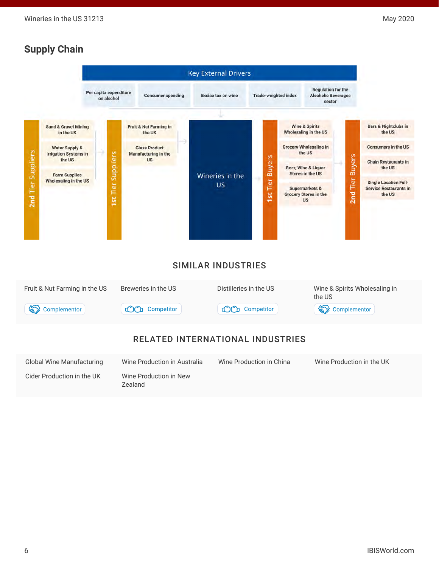# <span id="page-5-0"></span>**Supply Chain**

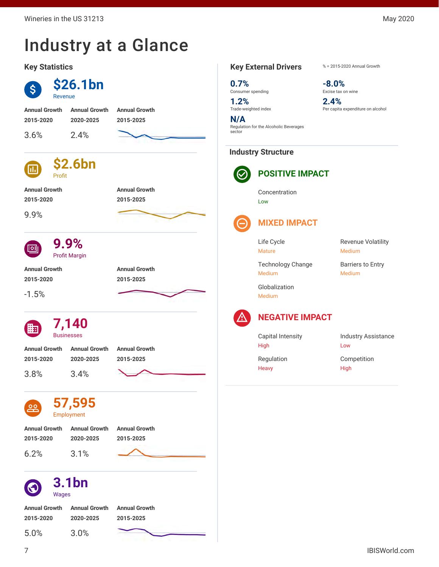# <span id="page-6-0"></span>Industry at a Glance

#### **Key Statistics**



#### **Key External Drivers** % = 2015-2020 Annual Growth

**0.7%** Consumer spending

**1.2%** Trade-weighted index

**N/A** Regulation for the Alcoholic Beverages sector

#### **Industry Structure**



**POSITIVE IMPACT**

Concentration Low

# **MIXED IMPACT**

Life Cycle Mature

Medium

**-8.0%** Excise tax on wine

**2.4%**

Per capita expenditure on alcohol

Technology Change Medium

Globalization Medium

Revenue Volatility Barriers to Entry

Medium



### **NEGATIVE IMPACT**

Capital Intensity High

Industry Assistance Low

Regulation **Heavy** 

Competition High

**2015-2020 2020-2025 2015-2025**

5.0% 3.0%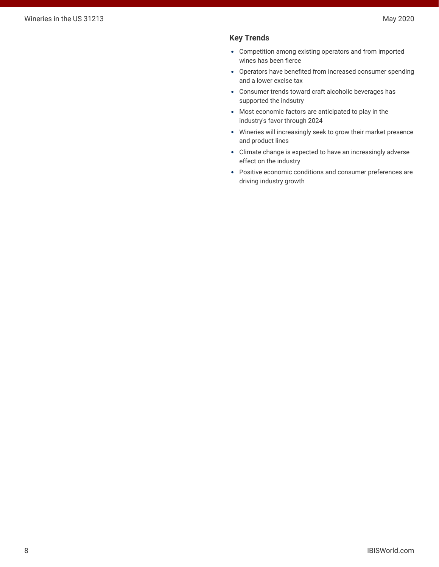#### **Key Trends**

- Competition among existing operators and from imported wines has been fierce
- Operators have benefited from increased consumer spending and a lower excise tax
- Consumer trends toward craft alcoholic beverages has supported the indsutry
- Most economic factors are anticipated to play in the industry's favor through 2024
- Wineries will increasingly seek to grow their market presence and product lines
- Climate change is expected to have an increasingly adverse effect on the industry
- Positive economic conditions and consumer preferences are driving industry growth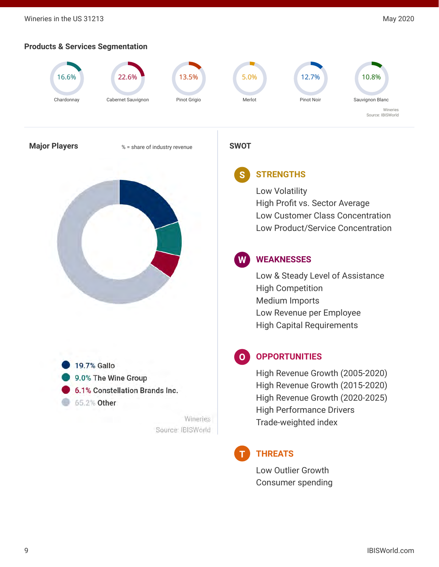Wineries in the US 31213 May 2020

## **Products & Services Segmentation**



19.7% Gallo 9.0% The Wine Group 6.1% Constellation Brands Inc. 65.2% Other

> Wineries Source: IBISWorld

High Revenue Growth (2005-2020) High Revenue Growth (2015-2020) High Revenue Growth (2020-2025) High Performance Drivers Trade-weighted index



# **THREATS**

Low Outlier Growth Consumer spending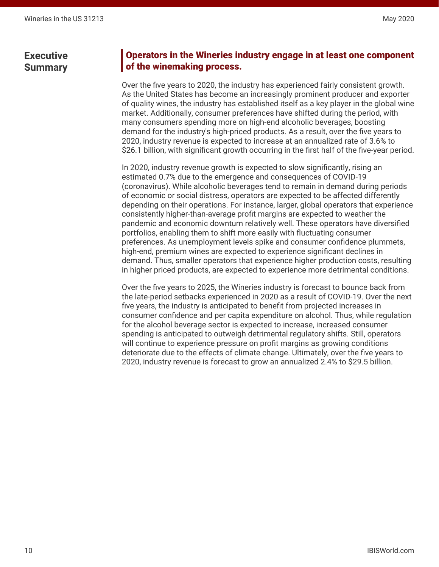# <span id="page-9-0"></span>Operators in the Wineries industry engage in at least one component of the winemaking process.

Over the five years to 2020, the industry has experienced fairly consistent growth. As the United States has become an increasingly prominent producer and exporter of quality wines, the industry has established itself as a key player in the global wine market. Additionally, consumer preferences have shifted during the period, with many consumers spending more on high-end alcoholic beverages, boosting demand for the industry's high-priced products. As a result, over the five years to 2020, industry revenue is expected to increase at an annualized rate of 3.6% to \$26.1 billion, with significant growth occurring in the first half of the five-year period.

In 2020, industry revenue growth is expected to slow significantly, rising an estimated 0.7% due to the emergence and consequences of COVID-19 (coronavirus). While alcoholic beverages tend to remain in demand during periods of economic or social distress, operators are expected to be affected differently depending on their operations. For instance, larger, global operators that experience consistently higher-than-average profit margins are expected to weather the pandemic and economic downturn relatively well. These operators have diversified portfolios, enabling them to shift more easily with fluctuating consumer preferences. As unemployment levels spike and consumer confidence plummets, high-end, premium wines are expected to experience significant declines in demand. Thus, smaller operators that experience higher production costs, resulting in higher priced products, are expected to experience more detrimental conditions.

Over the five years to 2025, the Wineries industry is forecast to bounce back from the late-period setbacks experienced in 2020 as a result of COVID-19. Over the next five years, the industry is anticipated to benefit from projected increases in consumer confidence and per capita expenditure on alcohol. Thus, while regulation for the alcohol beverage sector is expected to increase, increased consumer spending is anticipated to outweigh detrimental regulatory shifts. Still, operators will continue to experience pressure on profit margins as growing conditions deteriorate due to the effects of climate change. Ultimately, over the five years to 2020, industry revenue is forecast to grow an annualized 2.4% to \$29.5 billion.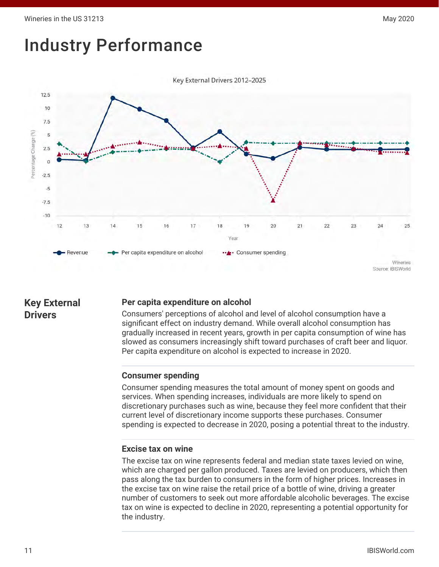# <span id="page-10-0"></span>Industry Performance



# **Key External Drivers**

### **Per capita expenditure on alcohol**

Consumers' perceptions of alcohol and level of alcohol consumption have a significant effect on industry demand. While overall alcohol consumption has gradually increased in recent years, growth in per capita consumption of wine has slowed as consumers increasingly shift toward purchases of craft beer and liquor. Per capita expenditure on alcohol is expected to increase in 2020.

### **Consumer spending**

Consumer spending measures the total amount of money spent on goods and services. When spending increases, individuals are more likely to spend on discretionary purchases such as wine, because they feel more confident that their current level of discretionary income supports these purchases. Consumer spending is expected to decrease in 2020, posing a potential threat to the industry.

#### **Excise tax on wine**

The excise tax on wine represents federal and median state taxes levied on wine, which are charged per gallon produced. Taxes are levied on producers, which then pass along the tax burden to consumers in the form of higher prices. Increases in the excise tax on wine raise the retail price of a bottle of wine, driving a greater number of customers to seek out more affordable alcoholic beverages. The excise tax on wine is expected to decline in 2020, representing a potential opportunity for the industry.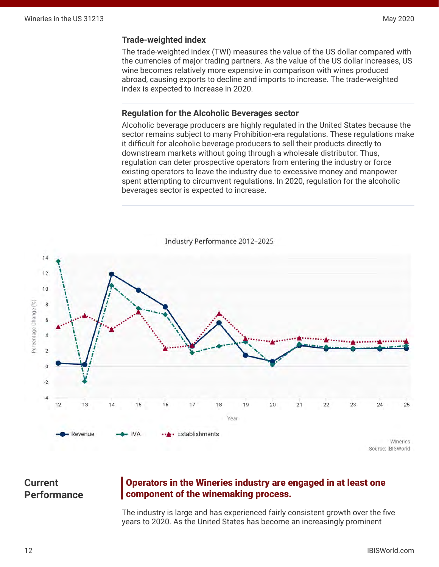#### <span id="page-11-0"></span>**Trade-weighted index**

The trade-weighted index (TWI) measures the value of the US dollar compared with the currencies of major trading partners. As the value of the US dollar increases, US wine becomes relatively more expensive in comparison with wines produced abroad, causing exports to decline and imports to increase. The trade-weighted index is expected to increase in 2020.

#### **Regulation for the Alcoholic Beverages sector**

Alcoholic beverage producers are highly regulated in the United States because the sector remains subject to many Prohibition-era regulations. These regulations make it difficult for alcoholic beverage producers to sell their products directly to downstream markets without going through a wholesale distributor. Thus, regulation can deter prospective operators from entering the industry or force existing operators to leave the industry due to excessive money and manpower spent attempting to circumvent regulations. In 2020, regulation for the alcoholic beverages sector is expected to increase.



Industry Performance 2012-2025

# **Current Performance**

# Operators in the Wineries industry are engaged in at least one component of the winemaking process.

The industry is large and has experienced fairly consistent growth over the five years to 2020. As the United States has become an increasingly prominent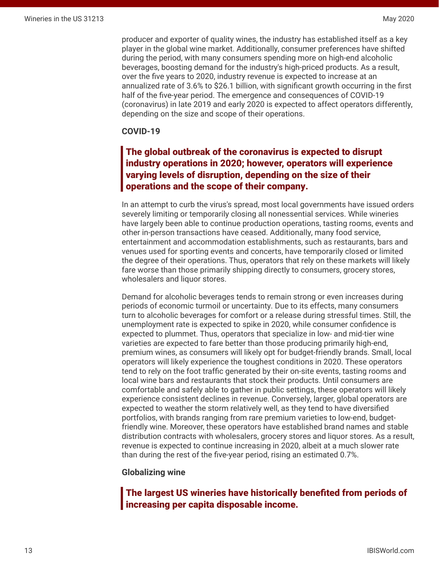producer and exporter of quality wines, the industry has established itself as a key player in the global wine market. Additionally, consumer preferences have shifted during the period, with many consumers spending more on high-end alcoholic beverages, boosting demand for the industry's high-priced products. As a result, over the five years to 2020, industry revenue is expected to increase at an annualized rate of 3.6% to \$26.1 billion, with significant growth occurring in the first half of the five-year period. The emergence and consequences of COVID-19 (coronavirus) in late 2019 and early 2020 is expected to affect operators differently, depending on the size and scope of their operations.

#### **COVID-19**

# The global outbreak of the coronavirus is expected to disrupt industry operations in 2020; however, operators will experience varying levels of disruption, depending on the size of their operations and the scope of their company.

In an attempt to curb the virus's spread, most local governments have issued orders severely limiting or temporarily closing all nonessential services. While wineries have largely been able to continue production operations, tasting rooms, events and other in-person transactions have ceased. Additionally, many food service, entertainment and accommodation establishments, such as restaurants, bars and venues used for sporting events and concerts, have temporarily closed or limited the degree of their operations. Thus, operators that rely on these markets will likely fare worse than those primarily shipping directly to consumers, grocery stores, wholesalers and liquor stores.

Demand for alcoholic beverages tends to remain strong or even increases during periods of economic turmoil or uncertainty. Due to its effects, many consumers turn to alcoholic beverages for comfort or a release during stressful times. Still, the unemployment rate is expected to spike in 2020, while consumer confidence is expected to plummet. Thus, operators that specialize in low- and mid-tier wine varieties are expected to fare better than those producing primarily high-end, premium wines, as consumers will likely opt for budget-friendly brands. Small, local operators will likely experience the toughest conditions in 2020. These operators tend to rely on the foot traffic generated by their on-site events, tasting rooms and local wine bars and restaurants that stock their products. Until consumers are comfortable and safely able to gather in public settings, these operators will likely experience consistent declines in revenue. Conversely, larger, global operators are expected to weather the storm relatively well, as they tend to have diversified portfolios, with brands ranging from rare premium varieties to low-end, budgetfriendly wine. Moreover, these operators have established brand names and stable distribution contracts with wholesalers, grocery stores and liquor stores. As a result, revenue is expected to continue increasing in 2020, albeit at a much slower rate than during the rest of the five-year period, rising an estimated 0.7%.

#### **Globalizing wine**

The largest US wineries have historically benefited from periods of increasing per capita disposable income.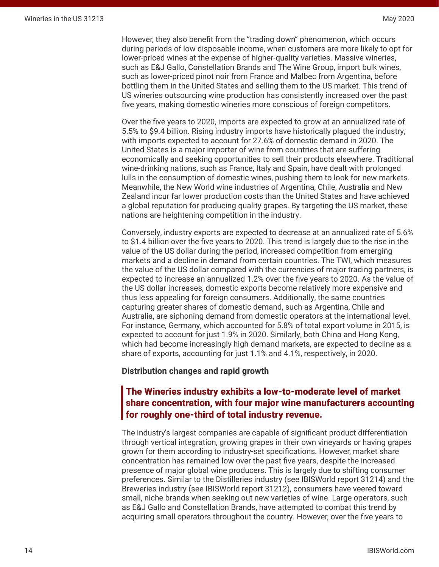However, they also benefit from the "trading down" phenomenon, which occurs during periods of low disposable income, when customers are more likely to opt for lower-priced wines at the expense of higher-quality varieties. Massive wineries, such as E&J Gallo, Constellation Brands and The Wine Group, import bulk wines, such as lower-priced pinot noir from France and Malbec from Argentina, before bottling them in the United States and selling them to the US market. This trend of US wineries outsourcing wine production has consistently increased over the past five years, making domestic wineries more conscious of foreign competitors.

Over the five years to 2020, imports are expected to grow at an annualized rate of 5.5% to \$9.4 billion. Rising industry imports have historically plagued the industry, with imports expected to account for 27.6% of domestic demand in 2020. The United States is a major importer of wine from countries that are suffering economically and seeking opportunities to sell their products elsewhere. Traditional wine-drinking nations, such as France, Italy and Spain, have dealt with prolonged lulls in the consumption of domestic wines, pushing them to look for new markets. Meanwhile, the New World wine industries of Argentina, Chile, Australia and New Zealand incur far lower production costs than the United States and have achieved a global reputation for producing quality grapes. By targeting the US market, these nations are heightening competition in the industry.

Conversely, industry exports are expected to decrease at an annualized rate of 5.6% to \$1.4 billion over the five years to 2020. This trend is largely due to the rise in the value of the US dollar during the period, increased competition from emerging markets and a decline in demand from certain countries. The TWI, which measures the value of the US dollar compared with the currencies of major trading partners, is expected to increase an annualized 1.2% over the five years to 2020. As the value of the US dollar increases, domestic exports become relatively more expensive and thus less appealing for foreign consumers. Additionally, the same countries capturing greater shares of domestic demand, such as Argentina, Chile and Australia, are siphoning demand from domestic operators at the international level. For instance, Germany, which accounted for 5.8% of total export volume in 2015, is expected to account for just 1.9% in 2020. Similarly, both China and Hong Kong, which had become increasingly high demand markets, are expected to decline as a share of exports, accounting for just 1.1% and 4.1%, respectively, in 2020.

#### **Distribution changes and rapid growth**

## The Wineries industry exhibits a low-to-moderate level of market share concentration, with four major wine manufacturers accounting for roughly one-third of total industry revenue.

The industry's largest companies are capable of significant product differentiation through vertical integration, growing grapes in their own vineyards or having grapes grown for them according to industry-set specifications. However, market share concentration has remained low over the past five years, despite the increased presence of major global wine producers. This is largely due to shifting consumer preferences. Similar to the Distilleries industry (see IBISWorld report 31214) and the Breweries industry (see IBISWorld report 31212), consumers have veered toward small, niche brands when seeking out new varieties of wine. Large operators, such as E&J Gallo and Constellation Brands, have attempted to combat this trend by acquiring small operators throughout the country. However, over the five years to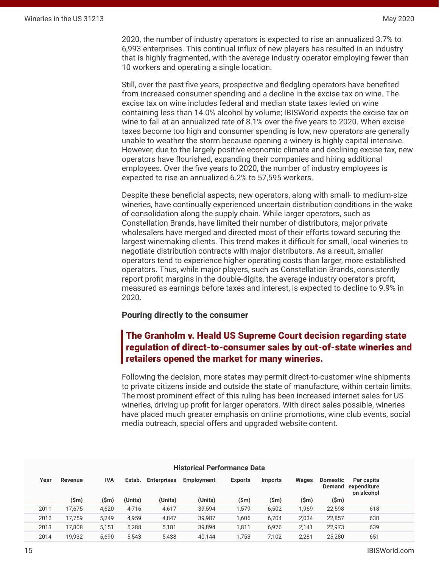2020, the number of industry operators is expected to rise an annualized 3.7% to 6,993 enterprises. This continual influx of new players has resulted in an industry that is highly fragmented, with the average industry operator employing fewer than 10 workers and operating a single location.

Still, over the past five years, prospective and fledgling operators have benefited from increased consumer spending and a decline in the excise tax on wine. The excise tax on wine includes federal and median state taxes levied on wine containing less than 14.0% alcohol by volume; IBISWorld expects the excise tax on wine to fall at an annualized rate of 8.1% over the five years to 2020. When excise taxes become too high and consumer spending is low, new operators are generally unable to weather the storm because opening a winery is highly capital intensive. However, due to the largely positive economic climate and declining excise tax, new operators have flourished, expanding their companies and hiring additional employees. Over the five years to 2020, the number of industry employees is expected to rise an annualized 6.2% to 57,595 workers.

Despite these beneficial aspects, new operators, along with small- to medium-size wineries, have continually experienced uncertain distribution conditions in the wake of consolidation along the supply chain. While larger operators, such as Constellation Brands, have limited their number of distributors, major private wholesalers have merged and directed most of their efforts toward securing the largest winemaking clients. This trend makes it difficult for small, local wineries to negotiate distribution contracts with major distributors. As a result, smaller operators tend to experience higher operating costs than larger, more established operators. Thus, while major players, such as Constellation Brands, consistently report profit margins in the double-digits, the average industry operator's profit, measured as earnings before taxes and interest, is expected to decline to 9.9% in 2020.

#### **Pouring directly to the consumer**

# The Granholm v. Heald US Supreme Court decision regarding state regulation of direct-to-consumer sales by out-of-state wineries and retailers opened the market for many wineries.

Following the decision, more states may permit direct-to-customer wine shipments to private citizens inside and outside the state of manufacture, within certain limits. The most prominent effect of this ruling has been increased internet sales for US wineries, driving up profit for larger operators. With direct sales possible, wineries have placed much greater emphasis on online promotions, wine club events, social media outreach, special offers and upgraded website content.

| <b>Historical Performance Data</b> |                 |            |         |                    |            |                |                 |       |                           |                                         |  |
|------------------------------------|-----------------|------------|---------|--------------------|------------|----------------|-----------------|-------|---------------------------|-----------------------------------------|--|
| Year                               | Revenue         | <b>IVA</b> | Estab.  | <b>Enterprises</b> | Employment | <b>Exports</b> | <b>Imports</b>  | Wages | <b>Domestic</b><br>Demand | Per capita<br>expenditure<br>on alcohol |  |
|                                    | $(\mathsf{Sm})$ | (\$m)      | (Units) | (Units)            | (Units)    | (Sm)           | $(\mathsf{Sm})$ | (\$m) | (\$m)                     |                                         |  |
| 2011                               | 17.675          | 4,620      | 4,716   | 4,617              | 39,594     | 1,579          | 6,502           | 1,969 | 22,598                    | 618                                     |  |
| 2012                               | 17.759          | 5.249      | 4,959   | 4,847              | 39.987     | 1.606          | 6.704           | 2.034 | 22,857                    | 638                                     |  |
| 2013                               | 17.808          | 5,151      | 5,288   | 5,181              | 39.894     | 1,811          | 6.976           | 2.141 | 22.973                    | 639                                     |  |
| 2014                               | 19.932          | 5.690      | 5.543   | 5,438              | 40.144     | 1.753          | 7.102           | 2,281 | 25,280                    | 651                                     |  |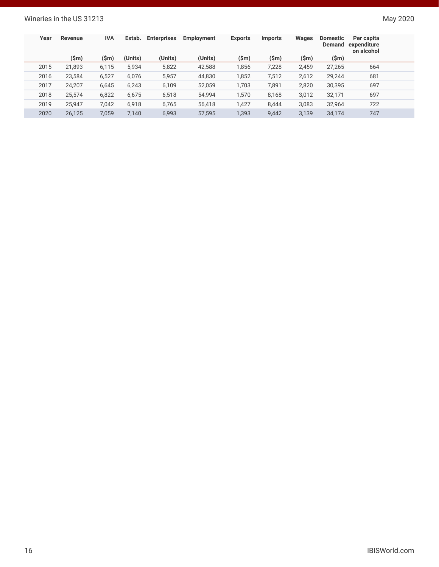## Wineries in the US 31213 May 2020

| Year | Revenue | <b>IVA</b> | Estab.  | <b>Enterprises</b> | Employment | <b>Exports</b> | <b>Imports</b> | Wages | <b>Domestic</b><br>Demand | Per capita<br>expenditure<br>on alcohol |  |
|------|---------|------------|---------|--------------------|------------|----------------|----------------|-------|---------------------------|-----------------------------------------|--|
|      | (\$m)   | (\$m)      | (Units) | (Units)            | (Units)    | (\$m)          | (\$m)          | (\$m) | (\$m)                     |                                         |  |
| 2015 | 21,893  | 6,115      | 5,934   | 5,822              | 42,588     | 1,856          | 7,228          | 2,459 | 27,265                    | 664                                     |  |
| 2016 | 23,584  | 6,527      | 6,076   | 5,957              | 44,830     | 1,852          | 7,512          | 2,612 | 29,244                    | 681                                     |  |
| 2017 | 24,207  | 6,645      | 6,243   | 6,109              | 52,059     | 1,703          | 7,891          | 2,820 | 30,395                    | 697                                     |  |
| 2018 | 25.574  | 6,822      | 6,675   | 6,518              | 54,994     | 1,570          | 8,168          | 3,012 | 32,171                    | 697                                     |  |
| 2019 | 25.947  | 7.042      | 6,918   | 6,765              | 56,418     | 1,427          | 8.444          | 3,083 | 32,964                    | 722                                     |  |
| 2020 | 26,125  | 7,059      | 7,140   | 6,993              | 57,595     | 1,393          | 9,442          | 3,139 | 34,174                    | 747                                     |  |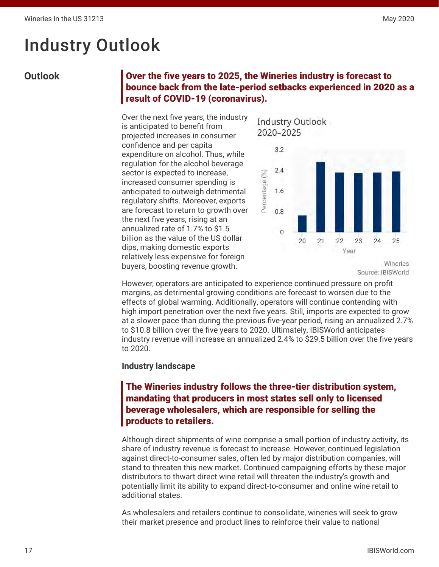# <span id="page-16-0"></span>Industry Outlook

# **Outlook** Over the five years to 2025, the Wineries industry is forecast to bounce back from the late-period setbacks experienced in 2020 as a result of COVID-19 (coronavirus).

Over the next five years, the industry is anticipated to benefit from projected increases in consumer confidence and per capita expenditure on alcohol. Thus, while regulation for the alcohol beverage sector is expected to increase, increased consumer spending is anticipated to outweigh detrimental regulatory shifts. Moreover, exports are forecast to return to growth over the next five years, rising at an annualized rate of 1.7% to \$1.5 billion as the value of the US dollar dips, making domestic exports relatively less expensive for foreign buyers, boosting revenue growth.

Industry Outlook 2020-2025



Source: IBISWorld

However, operators are anticipated to experience continued pressure on profit margins, as detrimental growing conditions are forecast to worsen due to the effects of global warming. Additionally, operators will continue contending with high import penetration over the next five years. Still, imports are expected to grow at a slower pace than during the previous five-year period, rising an annualized 2.7% to \$10.8 billion over the five years to 2020. Ultimately, IBISWorld anticipates industry revenue will increase an annualized 2.4% to \$29.5 billion over the five years to 2020.

### **Industry landscape**

# The Wineries industry follows the three-tier distribution system, mandating that producers in most states sell only to licensed beverage wholesalers, which are responsible for selling the products to retailers.

Although direct shipments of wine comprise a small portion of industry activity, its share of industry revenue is forecast to increase. However, continued legislation against direct-to-consumer sales, often led by major distribution companies, will stand to threaten this new market. Continued campaigning efforts by these major distributors to thwart direct wine retail will threaten the industry's growth and potentially limit its ability to expand direct-to-consumer and online wine retail to additional states.

As wholesalers and retailers continue to consolidate, wineries will seek to grow their market presence and product lines to reinforce their value to national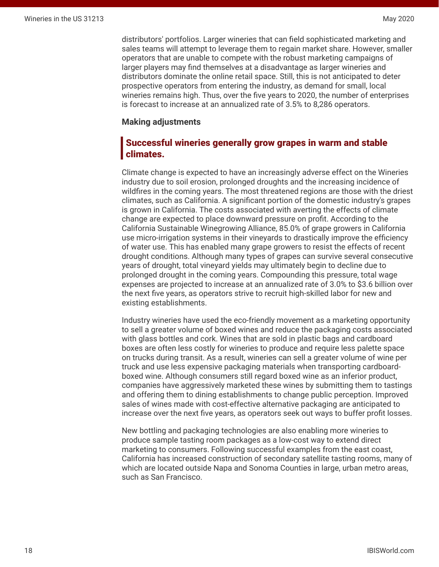distributors' portfolios. Larger wineries that can field sophisticated marketing and sales teams will attempt to leverage them to regain market share. However, smaller operators that are unable to compete with the robust marketing campaigns of larger players may find themselves at a disadvantage as larger wineries and distributors dominate the online retail space. Still, this is not anticipated to deter prospective operators from entering the industry, as demand for small, local wineries remains high. Thus, over the five years to 2020, the number of enterprises is forecast to increase at an annualized rate of 3.5% to 8,286 operators.

#### **Making adjustments**

## Successful wineries generally grow grapes in warm and stable climates.

Climate change is expected to have an increasingly adverse effect on the Wineries industry due to soil erosion, prolonged droughts and the increasing incidence of wildfires in the coming years. The most threatened regions are those with the driest climates, such as California. A significant portion of the domestic industry's grapes is grown in California. The costs associated with averting the effects of climate change are expected to place downward pressure on profit. According to the California Sustainable Winegrowing Alliance, 85.0% of grape growers in California use micro-irrigation systems in their vineyards to drastically improve the efficiency of water use. This has enabled many grape growers to resist the effects of recent drought conditions. Although many types of grapes can survive several consecutive years of drought, total vineyard yields may ultimately begin to decline due to prolonged drought in the coming years. Compounding this pressure, total wage expenses are projected to increase at an annualized rate of 3.0% to \$3.6 billion over the next five years, as operators strive to recruit high-skilled labor for new and existing establishments.

Industry wineries have used the eco-friendly movement as a marketing opportunity to sell a greater volume of boxed wines and reduce the packaging costs associated with glass bottles and cork. Wines that are sold in plastic bags and cardboard boxes are often less costly for wineries to produce and require less palette space on trucks during transit. As a result, wineries can sell a greater volume of wine per truck and use less expensive packaging materials when transporting cardboardboxed wine. Although consumers still regard boxed wine as an inferior product, companies have aggressively marketed these wines by submitting them to tastings and offering them to dining establishments to change public perception. Improved sales of wines made with cost-effective alternative packaging are anticipated to increase over the next five years, as operators seek out ways to buffer profit losses.

New bottling and packaging technologies are also enabling more wineries to produce sample tasting room packages as a low-cost way to extend direct marketing to consumers. Following successful examples from the east coast, California has increased construction of secondary satellite tasting rooms, many of which are located outside Napa and Sonoma Counties in large, urban metro areas, such as San Francisco.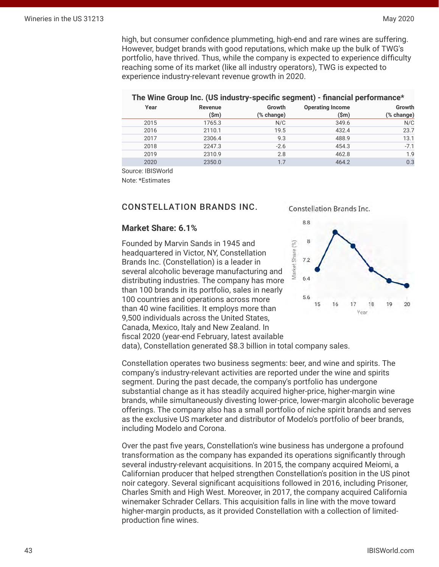high, but consumer confidence plummeting, high-end and rare wines are suffering. However, budget brands with good reputations, which make up the bulk of TWG's portfolio, have thrived. Thus, while the company is expected to experience difficulty reaching some of its market (like all industry operators), TWG is expected to experience industry-relevant revenue growth in 2020.

#### **The Wine Group Inc. (US industry-specific segment) - financial performance\***

| Year | Revenue<br>$(\mathsf{Sm})$ | Growth<br>(% change) | <b>Operating Income</b><br>$(\$m)$ | Growth<br>(% change) |
|------|----------------------------|----------------------|------------------------------------|----------------------|
| 2015 | 1765.3                     | N/C                  | 349.6                              | N/C                  |
| 2016 | 2110.1                     | 19.5                 | 432.4                              | 23.7                 |
| 2017 | 2306.4                     | 9.3                  | 488.9                              | 13.1                 |
| 2018 | 2247.3                     | $-2.6$               | 454.3                              | $-7.1$               |
| 2019 | 2310.9                     | 2.8                  | 462.8                              | 1.9                  |
| 2020 | 2350.0                     | 1.7                  | 464.2                              | 0.3                  |

Source: IBISWorld

Note: \*Estimates

#### CONSTELLATION BRANDS INC.

#### **Market Share: 6.1%**

Founded by Marvin Sands in 1945 and Vlarket Share (%) headquartered in Victor, NY, Constellation Brands Inc. (Constellation) is a leader in several alcoholic beverage manufacturing and distributing industries. The company has more than 100 brands in its portfolio, sales in nearly 100 countries and operations across more than 40 wine facilities. It employs more than 9,500 individuals across the United States, Canada, Mexico, Italy and New Zealand. In fiscal 2020 (year-end February, latest available data), Constellation generated \$8.3 billion in total company sales.

Constellation Brands Inc.



Constellation operates two business segments: beer, and wine and spirits. The company's industry-relevant activities are reported under the wine and spirits segment. During the past decade, the company's portfolio has undergone substantial change as it has steadily acquired higher-price, higher-margin wine brands, while simultaneously divesting lower-price, lower-margin alcoholic beverage offerings. The company also has a small portfolio of niche spirit brands and serves as the exclusive US marketer and distributor of Modelo's portfolio of beer brands, including Modelo and Corona.

Over the past five years, Constellation's wine business has undergone a profound transformation as the company has expanded its operations significantly through several industry-relevant acquisitions. In 2015, the company acquired Meiomi, a Californian producer that helped strengthen Constellation's position in the US pinot noir category. Several significant acquisitions followed in 2016, including Prisoner, Charles Smith and High West. Moreover, in 2017, the company acquired California winemaker Schrader Cellars. This acquisition falls in line with the move toward higher-margin products, as it provided Constellation with a collection of limitedproduction fine wines.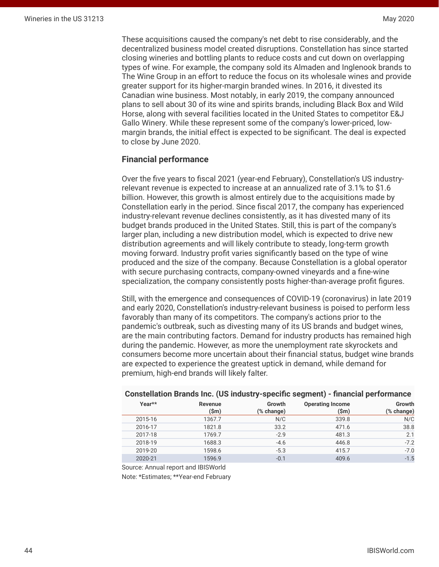<span id="page-19-0"></span>These acquisitions caused the company's net debt to rise considerably, and the decentralized business model created disruptions. Constellation has since started closing wineries and bottling plants to reduce costs and cut down on overlapping types of wine. For example, the company sold its Almaden and Inglenook brands to The Wine Group in an effort to reduce the focus on its wholesale wines and provide greater support for its higher-margin branded wines. In 2016, it divested its Canadian wine business. Most notably, in early 2019, the company announced plans to sell about 30 of its wine and spirits brands, including Black Box and Wild Horse, along with several facilities located in the United States to competitor E&J Gallo Winery. While these represent some of the company's lower-priced, lowmargin brands, the initial effect is expected to be significant. The deal is expected to close by June 2020.

#### **Financial performance**

Over the five years to fiscal 2021 (year-end February), Constellation's US industryrelevant revenue is expected to increase at an annualized rate of 3.1% to \$1.6 billion. However, this growth is almost entirely due to the acquisitions made by Constellation early in the period. Since fiscal 2017, the company has experienced industry-relevant revenue declines consistently, as it has divested many of its budget brands produced in the United States. Still, this is part of the company's larger plan, including a new distribution model, which is expected to drive new distribution agreements and will likely contribute to steady, long-term growth moving forward. Industry profit varies significantly based on the type of wine produced and the size of the company. Because Constellation is a global operator with secure purchasing contracts, company-owned vineyards and a fine-wine specialization, the company consistently posts higher-than-average profit figures.

Still, with the emergence and consequences of COVID-19 (coronavirus) in late 2019 and early 2020, Constellation's industry-relevant business is poised to perform less favorably than many of its competitors. The company's actions prior to the pandemic's outbreak, such as divesting many of its US brands and budget wines, are the main contributing factors. Demand for industry products has remained high during the pandemic. However, as more the unemployment rate skyrockets and consumers become more uncertain about their financial status, budget wine brands are expected to experience the greatest uptick in demand, while demand for premium, high-end brands will likely falter.

|            | -                       |            |                 |         |
|------------|-------------------------|------------|-----------------|---------|
| Growth     | <b>Operating Income</b> | Growth     | <b>Revenue</b>  | Year**  |
| (% change) | $(\mathsf{Sm})$         | (% change) | $(\mathsf{Sm})$ |         |
| N/C        | 339.8                   | N/C        | 1367.7          | 2015-16 |
| 38.8       | 471.6                   | 33.2       | 1821.8          | 2016-17 |
| 2.1        | 481.3                   | $-2.9$     | 1769.7          | 2017-18 |
| $-7.2$     | 446.8                   | $-4.6$     | 1688.3          | 2018-19 |
| $-7.0$     | 415.7                   | $-5.3$     | 1598.6          | 2019-20 |
| $-1.5$     | 409.6                   | $-0.1$     | 1596.9          | 2020-21 |

### **Constellation Brands Inc. (US industry-specific segment) - financial performance**

Source: Annual report and IBISWorld

Note: \*Estimates; \*\*Year-end February